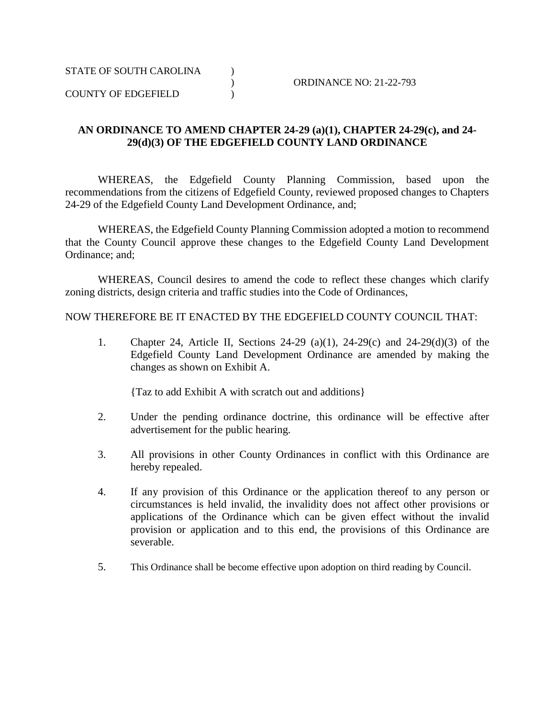COUNTY OF EDGEFIELD )

## **AN ORDINANCE TO AMEND CHAPTER 24-29 (a)(1), CHAPTER 24-29(c), and 24- 29(d)(3) OF THE EDGEFIELD COUNTY LAND ORDINANCE**

WHEREAS, the Edgefield County Planning Commission, based upon the recommendations from the citizens of Edgefield County, reviewed proposed changes to Chapters 24-29 of the Edgefield County Land Development Ordinance, and;

WHEREAS, the Edgefield County Planning Commission adopted a motion to recommend that the County Council approve these changes to the Edgefield County Land Development Ordinance; and;

WHEREAS, Council desires to amend the code to reflect these changes which clarify zoning districts, design criteria and traffic studies into the Code of Ordinances,

NOW THEREFORE BE IT ENACTED BY THE EDGEFIELD COUNTY COUNCIL THAT:

1. Chapter 24, Article II, Sections 24-29 (a)(1), 24-29(c) and 24-29(d)(3) of the Edgefield County Land Development Ordinance are amended by making the changes as shown on Exhibit A.

{Taz to add Exhibit A with scratch out and additions}

- 2. Under the pending ordinance doctrine, this ordinance will be effective after advertisement for the public hearing.
- 3. All provisions in other County Ordinances in conflict with this Ordinance are hereby repealed.
- 4. If any provision of this Ordinance or the application thereof to any person or circumstances is held invalid, the invalidity does not affect other provisions or applications of the Ordinance which can be given effect without the invalid provision or application and to this end, the provisions of this Ordinance are severable.
- 5. This Ordinance shall be become effective upon adoption on third reading by Council.